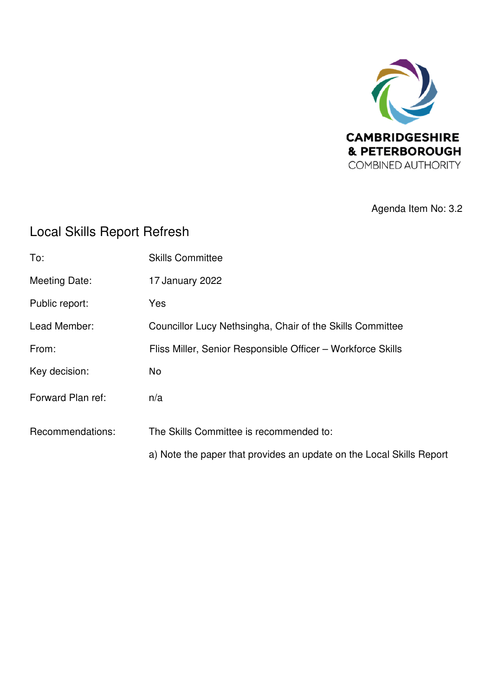

Agenda Item No: 3.2

# Local Skills Report Refresh

| To:                  | <b>Skills Committee</b>                                              |
|----------------------|----------------------------------------------------------------------|
| <b>Meeting Date:</b> | 17 January 2022                                                      |
| Public report:       | Yes                                                                  |
| Lead Member:         | Councillor Lucy Nethsingha, Chair of the Skills Committee            |
| From:                | Fliss Miller, Senior Responsible Officer - Workforce Skills          |
| Key decision:        | No                                                                   |
| Forward Plan ref:    | n/a                                                                  |
| Recommendations:     | The Skills Committee is recommended to:                              |
|                      | a) Note the paper that provides an update on the Local Skills Report |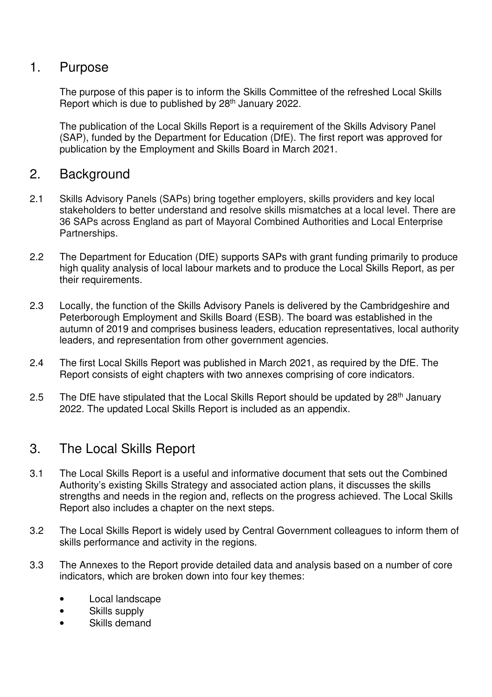#### 1. Purpose

The purpose of this paper is to inform the Skills Committee of the refreshed Local Skills Report which is due to published by 28<sup>th</sup> January 2022.

The publication of the Local Skills Report is a requirement of the Skills Advisory Panel (SAP), funded by the Department for Education (DfE). The first report was approved for publication by the Employment and Skills Board in March 2021.

#### 2. Background

- 2.1 Skills Advisory Panels (SAPs) bring together employers, skills providers and key local stakeholders to better understand and resolve skills mismatches at a local level. There are 36 SAPs across England as part of Mayoral Combined Authorities and Local Enterprise Partnerships.
- 2.2 The Department for Education (DfE) supports SAPs with grant funding primarily to produce high quality analysis of local labour markets and to produce the Local Skills Report, as per their requirements.
- 2.3 Locally, the function of the Skills Advisory Panels is delivered by the Cambridgeshire and Peterborough Employment and Skills Board (ESB). The board was established in the autumn of 2019 and comprises business leaders, education representatives, local authority leaders, and representation from other government agencies.
- 2.4 The first Local Skills Report was published in March 2021, as required by the DfE. The Report consists of eight chapters with two annexes comprising of core indicators.
- 2.5 The DfE have stipulated that the Local Skills Report should be updated by  $28<sup>th</sup>$  January 2022. The updated Local Skills Report is included as an appendix.

### 3. The Local Skills Report

- 3.1 The Local Skills Report is a useful and informative document that sets out the Combined Authority's existing Skills Strategy and associated action plans, it discusses the skills strengths and needs in the region and, reflects on the progress achieved. The Local Skills Report also includes a chapter on the next steps.
- 3.2 The Local Skills Report is widely used by Central Government colleagues to inform them of skills performance and activity in the regions.
- 3.3 The Annexes to the Report provide detailed data and analysis based on a number of core indicators, which are broken down into four key themes:
	- Local landscape
	- Skills supply
	- Skills demand